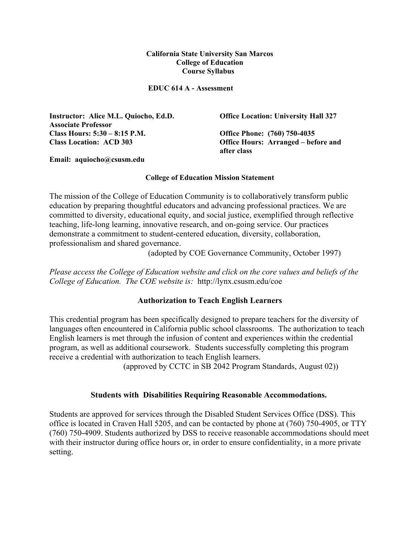#### **California State University San Marcos College of Education Course Syllabus**

**EDUC 614 A - Assessment** 

**Instructor: Alice M.L. Quiocho, Ed.D. Associate Professor Class Hours: 5:30 – 8:15 P.M. Office Phone: (760) 750-4035 Class Location: ACD 303 Office Hours: Arranged – before and** 

**Office Location: University Hall 327** 

**after class** 

**Email: aquiocho@csusm.edu** 

#### **College of Education Mission Statement**

The mission of the College of Education Community is to collaboratively transform public education by preparing thoughtful educators and advancing professional practices. We are committed to diversity, educational equity, and social justice, exemplified through reflective teaching, life-long learning, innovative research, and on-going service. Our practices demonstrate a commitment to student-centered education, diversity, collaboration, professionalism and shared governance.

(adopted by COE Governance Community, October 1997)

*Please access the College of Education website and click on the core values and beliefs of the College of Education. The COE website is:* http://lynx.csusm.edu/coe

#### **Authorization to Teach English Learners**

This credential program has been specifically designed to prepare teachers for the diversity of languages often encountered in California public school classrooms. The authorization to teach English learners is met through the infusion of content and experiences within the credential program, as well as additional coursework. Students successfully completing this program receive a credential with authorization to teach English learners.

(approved by CCTC in SB 2042 Program Standards, August 02))

#### **Students with Disabilities Requiring Reasonable Accommodations.**

Students are approved for services through the Disabled Student Services Office (DSS). This office is located in Craven Hall 5205, and can be contacted by phone at (760) 750-4905, or TTY (760) 750-4909. Students authorized by DSS to receive reasonable accommodations should meet with their instructor during office hours or, in order to ensure confidentiality, in a more private setting.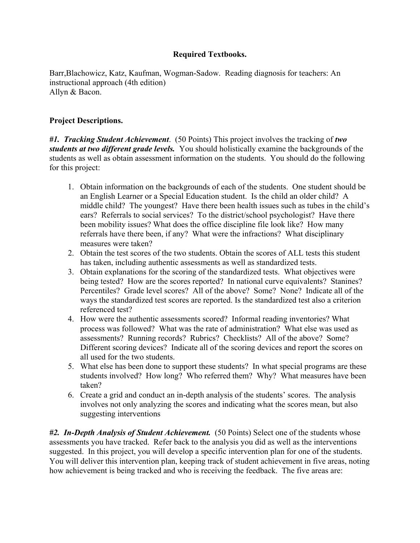## **Required Textbooks.**

Barr,Blachowicz, Katz, Kaufman, Wogman-Sadow. Reading diagnosis for teachers: An instructional approach (4th edition) Allyn & Bacon.

## **Project Descriptions.**

*#1. Tracking Student Achievement*. (50 Points) This project involves the tracking of *two students at two different grade levels.* You should holistically examine the backgrounds of the students as well as obtain assessment information on the students. You should do the following for this project:

- 1. Obtain information on the backgrounds of each of the students. One student should be an English Learner or a Special Education student. Is the child an older child? A middle child? The youngest? Have there been health issues such as tubes in the child's ears? Referrals to social services? To the district/school psychologist? Have there been mobility issues? What does the office discipline file look like? How many referrals have there been, if any? What were the infractions? What disciplinary measures were taken?
- 2. Obtain the test scores of the two students. Obtain the scores of ALL tests this student has taken, including authentic assessments as well as standardized tests.
- 3. Obtain explanations for the scoring of the standardized tests. What objectives were being tested? How are the scores reported? In national curve equivalents? Stanines? Percentiles? Grade level scores? All of the above? Some? None? Indicate all of the ways the standardized test scores are reported. Is the standardized test also a criterion referenced test?
- 4. How were the authentic assessments scored? Informal reading inventories? What process was followed? What was the rate of administration? What else was used as assessments? Running records? Rubrics? Checklists? All of the above? Some? Different scoring devices? Indicate all of the scoring devices and report the scores on all used for the two students.
- 5. What else has been done to support these students? In what special programs are these students involved? How long? Who referred them? Why? What measures have been taken?
- 6. Create a grid and conduct an in-depth analysis of the students' scores. The analysis involves not only analyzing the scores and indicating what the scores mean, but also suggesting interventions

*#2. In-Depth Analysis of Student Achievement.* (50 Points) Select one of the students whose assessments you have tracked. Refer back to the analysis you did as well as the interventions suggested. In this project, you will develop a specific intervention plan for one of the students. You will deliver this intervention plan, keeping track of student achievement in five areas, noting how achievement is being tracked and who is receiving the feedback. The five areas are: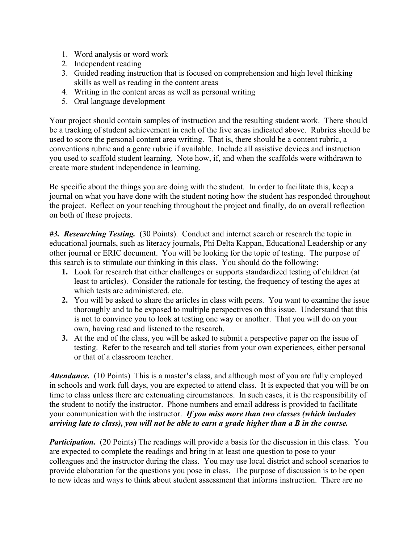- 1. Word analysis or word work
- 2. Independent reading
- 3. Guided reading instruction that is focused on comprehension and high level thinking skills as well as reading in the content areas
- 4. Writing in the content areas as well as personal writing
- 5. Oral language development

Your project should contain samples of instruction and the resulting student work. There should be a tracking of student achievement in each of the five areas indicated above. Rubrics should be used to score the personal content area writing. That is, there should be a content rubric, a conventions rubric and a genre rubric if available. Include all assistive devices and instruction you used to scaffold student learning. Note how, if, and when the scaffolds were withdrawn to create more student independence in learning.

Be specific about the things you are doing with the student. In order to facilitate this, keep a journal on what you have done with the student noting how the student has responded throughout the project. Reflect on your teaching throughout the project and finally, do an overall reflection on both of these projects.

*#3. Researching Testing.* (30 Points). Conduct and internet search or research the topic in educational journals, such as literacy journals, Phi Delta Kappan, Educational Leadership or any other journal or ERIC document. You will be looking for the topic of testing. The purpose of this search is to stimulate our thinking in this class. You should do the following:

- **1.** Look for research that either challenges or supports standardized testing of children (at least to articles). Consider the rationale for testing, the frequency of testing the ages at which tests are administered, etc.
- **2.** You will be asked to share the articles in class with peers. You want to examine the issue thoroughly and to be exposed to multiple perspectives on this issue. Understand that this is not to convince you to look at testing one way or another. That you will do on your own, having read and listened to the research.
- **3.** At the end of the class, you will be asked to submit a perspective paper on the issue of testing. Refer to the research and tell stories from your own experiences, either personal or that of a classroom teacher.

Attendance. (10 Points) This is a master's class, and although most of you are fully employed in schools and work full days, you are expected to attend class. It is expected that you will be on time to class unless there are extenuating circumstances. In such cases, it is the responsibility of the student to notify the instructor. Phone numbers and email address is provided to facilitate your communication with the instructor. *If you miss more than two classes (which includes arriving late to class), you will not be able to earn a grade higher than a B in the course.* 

*Participation.* (20 Points) The readings will provide a basis for the discussion in this class. You are expected to complete the readings and bring in at least one question to pose to your colleagues and the instructor during the class. You may use local district and school scenarios to provide elaboration for the questions you pose in class. The purpose of discussion is to be open to new ideas and ways to think about student assessment that informs instruction. There are no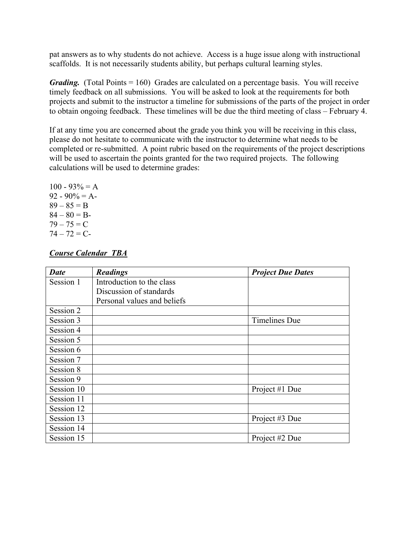pat answers as to why students do not achieve. Access is a huge issue along with instructional scaffolds. It is not necessarily students ability, but perhaps cultural learning styles.

*Grading.* (Total Points = 160) Grades are calculated on a percentage basis. You will receive timely feedback on all submissions. You will be asked to look at the requirements for both projects and submit to the instructor a timeline for submissions of the parts of the project in order to obtain ongoing feedback. These timelines will be due the third meeting of class – February 4.

If at any time you are concerned about the grade you think you will be receiving in this class, please do not hesitate to communicate with the instructor to determine what needs to be completed or re-submitted. A point rubric based on the requirements of the project descriptions will be used to ascertain the points granted for the two required projects. The following calculations will be used to determine grades:

 $100 - 93\% = A$  $92 - 90\% = A$  $89 - 85 = B$  $84 - 80 = B$  $79 - 75 = C$  $74 - 72 = C$ 

## *Course Calendar TBA*

| <b>Date</b> | <b>Readings</b>             | <b>Project Due Dates</b> |
|-------------|-----------------------------|--------------------------|
| Session 1   | Introduction to the class   |                          |
|             | Discussion of standards     |                          |
|             | Personal values and beliefs |                          |
| Session 2   |                             |                          |
| Session 3   |                             | Timelines Due            |
| Session 4   |                             |                          |
| Session 5   |                             |                          |
| Session 6   |                             |                          |
| Session 7   |                             |                          |
| Session 8   |                             |                          |
| Session 9   |                             |                          |
| Session 10  |                             | Project #1 Due           |
| Session 11  |                             |                          |
| Session 12  |                             |                          |
| Session 13  |                             | Project #3 Due           |
| Session 14  |                             |                          |
| Session 15  |                             | Project #2 Due           |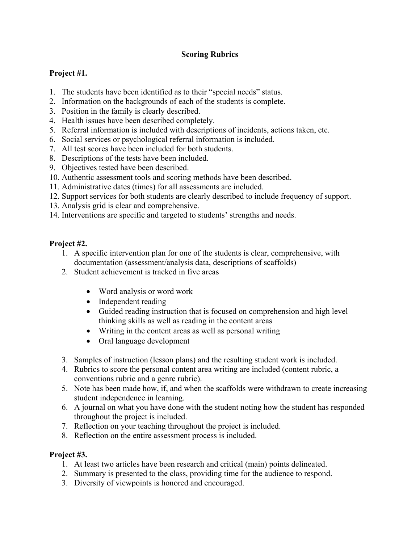# **Scoring Rubrics**

# **Project #1.**

- 1. The students have been identified as to their "special needs" status.
- 2. Information on the backgrounds of each of the students is complete.
- 3. Position in the family is clearly described.
- 4. Health issues have been described completely.
- 5. Referral information is included with descriptions of incidents, actions taken, etc.
- 6. Social services or psychological referral information is included.
- 7. All test scores have been included for both students.
- 8. Descriptions of the tests have been included.
- 9. Objectives tested have been described.
- 10. Authentic assessment tools and scoring methods have been described.
- 11. Administrative dates (times) for all assessments are included.
- 12. Support services for both students are clearly described to include frequency of support.
- 13. Analysis grid is clear and comprehensive.
- 14. Interventions are specific and targeted to students' strengths and needs.

# **Project #2.**

- 1. A specific intervention plan for one of the students is clear, comprehensive, with documentation (assessment/analysis data, descriptions of scaffolds)
- 2. Student achievement is tracked in five areas
	- Word analysis or word work
	- Independent reading
	- Guided reading instruction that is focused on comprehension and high level thinking skills as well as reading in the content areas
	- Writing in the content areas as well as personal writing
	- Oral language development
- 3. Samples of instruction (lesson plans) and the resulting student work is included.
- 4. Rubrics to score the personal content area writing are included (content rubric, a conventions rubric and a genre rubric).
- 5. Note has been made how, if, and when the scaffolds were withdrawn to create increasing student independence in learning.
- 6. A journal on what you have done with the student noting how the student has responded throughout the project is included.
- 7. Reflection on your teaching throughout the project is included.
- 8. Reflection on the entire assessment process is included.

## **Project #3.**

- 1. At least two articles have been research and critical (main) points delineated.
- 2. Summary is presented to the class, providing time for the audience to respond.
- 3. Diversity of viewpoints is honored and encouraged.